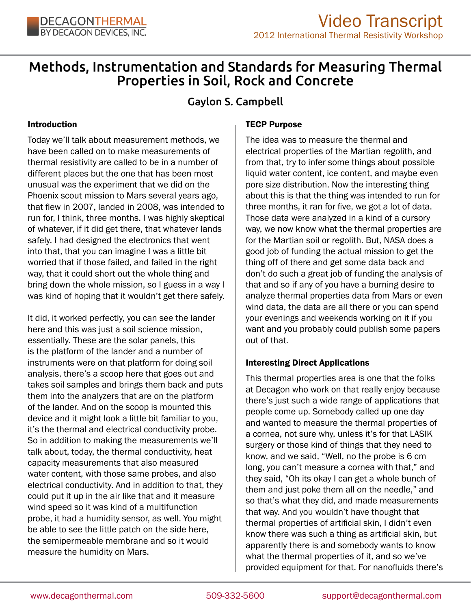

# Methods, Instrumentation and Standards for Measuring Thermal Properties in Soil, Rock and Concrete

# Gaylon S. Campbell

### Introduction

Today we'll talk about measurement methods, we have been called on to make measurements of thermal resistivity are called to be in a number of different places but the one that has been most unusual was the experiment that we did on the Phoenix scout mission to Mars several years ago, that flew in 2007, landed in 2008, was intended to run for, I think, three months. I was highly skeptical of whatever, if it did get there, that whatever lands safely. I had designed the electronics that went into that, that you can imagine I was a little bit worried that if those failed, and failed in the right way, that it could short out the whole thing and bring down the whole mission, so I guess in a way I was kind of hoping that it wouldn't get there safely.

It did, it worked perfectly, you can see the lander here and this was just a soil science mission, essentially. These are the solar panels, this is the platform of the lander and a number of instruments were on that platform for doing soil analysis, there's a scoop here that goes out and takes soil samples and brings them back and puts them into the analyzers that are on the platform of the lander. And on the scoop is mounted this device and it might look a little bit familiar to you, it's the thermal and electrical conductivity probe. So in addition to making the measurements we'll talk about, today, the thermal conductivity, heat capacity measurements that also measured water content, with those same probes, and also electrical conductivity. And in addition to that, they could put it up in the air like that and it measure wind speed so it was kind of a multifunction probe, it had a humidity sensor, as well. You might be able to see the little patch on the side here, the semipermeable membrane and so it would measure the humidity on Mars.

### TECP Purpose

The idea was to measure the thermal and electrical properties of the Martian regolith, and from that, try to infer some things about possible liquid water content, ice content, and maybe even pore size distribution. Now the interesting thing about this is that the thing was intended to run for three months, it ran for five, we got a lot of data. Those data were analyzed in a kind of a cursory way, we now know what the thermal properties are for the Martian soil or regolith. But, NASA does a good job of funding the actual mission to get the thing off of there and get some data back and don't do such a great job of funding the analysis of that and so if any of you have a burning desire to analyze thermal properties data from Mars or even wind data, the data are all there or you can spend your evenings and weekends working on it if you want and you probably could publish some papers out of that.

### Interesting Direct Applications

This thermal properties area is one that the folks at Decagon who work on that really enjoy because there's just such a wide range of applications that people come up. Somebody called up one day and wanted to measure the thermal properties of a cornea, not sure why, unless it's for that LASIK surgery or those kind of things that they need to know, and we said, "Well, no the probe is 6 cm long, you can't measure a cornea with that," and they said, "Oh its okay I can get a whole bunch of them and just poke them all on the needle," and so that's what they did, and made measurements that way. And you wouldn't have thought that thermal properties of artificial skin, I didn't even know there was such a thing as artificial skin, but apparently there is and somebody wants to know what the thermal properties of it, and so we've provided equipment for that. For nanofluids there's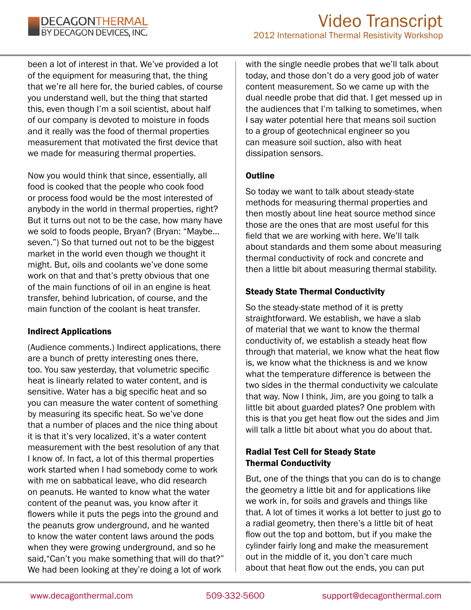

been a lot of interest in that. We've provided a lot of the equipment for measuring that, the thing that we're all here for, the buried cables, of course you understand well, but the thing that started this, even though I'm a soil scientist, about half of our company is devoted to moisture in foods and it really was the food of thermal properties measurement that motivated the first device that we made for measuring thermal properties.

Now you would think that since, essentially, all food is cooked that the people who cook food or process food would be the most interested of anybody in the world in thermal properties, right? But it turns out not to be the case, how many have we sold to foods people, Bryan? (Bryan: "Maybe… seven.") So that turned out not to be the biggest market in the world even though we thought it might. But, oils and coolants we've done some work on that and that's pretty obvious that one of the main functions of oil in an engine is heat transfer, behind lubrication, of course, and the main function of the coolant is heat transfer.

### Indirect Applications

(Audience comments.) Indirect applications, there are a bunch of pretty interesting ones there, too. You saw yesterday, that volumetric specific heat is linearly related to water content, and is sensitive. Water has a big specific heat and so you can measure the water content of something by measuring its specific heat. So we've done that a number of places and the nice thing about it is that it's very localized, it's a water content measurement with the best resolution of any that I know of. In fact, a lot of this thermal properties work started when I had somebody come to work with me on sabbatical leave, who did research on peanuts. He wanted to know what the water content of the peanut was, you know after it flowers while it puts the pegs into the ground and the peanuts grow underground, and he wanted to know the water content laws around the pods when they were growing underground, and so he said,"Can't you make something that will do that?" We had been looking at they're doing a lot of work

with the single needle probes that we'll talk about today, and those don't do a very good job of water content measurement. So we came up with the dual needle probe that did that. I get messed up in the audiences that I'm talking to sometimes, when I say water potential here that means soil suction to a group of geotechnical engineer so you can measure soil suction, also with heat dissipation sensors.

### **Outline**

So today we want to talk about steady-state methods for measuring thermal properties and then mostly about line heat source method since those are the ones that are most useful for this field that we are working with here. We'll talk about standards and them some about measuring thermal conductivity of rock and concrete and then a little bit about measuring thermal stability.

### Steady State Thermal Conductivity

So the steady-state method of it is pretty straightforward. We establish, we have a slab of material that we want to know the thermal conductivity of, we establish a steady heat flow through that material, we know what the heat flow is, we know what the thickness is and we know what the temperature difference is between the two sides in the thermal conductivity we calculate that way. Now I think, Jim, are you going to talk a little bit about guarded plates? One problem with this is that you get heat flow out the sides and Jim will talk a little bit about what you do about that.

# Radial Test Cell for Steady State Thermal Conductivity

But, one of the things that you can do is to change the geometry a little bit and for applications like we work in, for soils and gravels and things like that. A lot of times it works a lot better to just go to a radial geometry, then there's a little bit of heat flow out the top and bottom, but if you make the cylinder fairly long and make the measurement out in the middle of it, you don't care much about that heat flow out the ends, you can put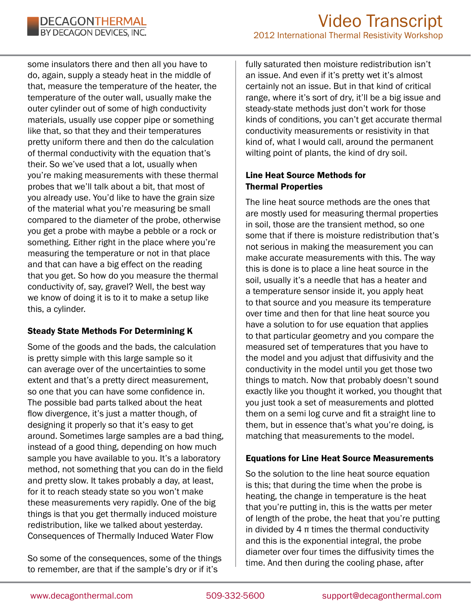

some insulators there and then all you have to do, again, supply a steady heat in the middle of that, measure the temperature of the heater, the temperature of the outer wall, usually make the outer cylinder out of some of high conductivity materials, usually use copper pipe or something like that, so that they and their temperatures pretty uniform there and then do the calculation of thermal conductivity with the equation that's their. So we've used that a lot, usually when you're making measurements with these thermal probes that we'll talk about a bit, that most of you already use. You'd like to have the grain size of the material what you're measuring be small compared to the diameter of the probe, otherwise you get a probe with maybe a pebble or a rock or something. Either right in the place where you're measuring the temperature or not in that place and that can have a big effect on the reading that you get. So how do you measure the thermal conductivity of, say, gravel? Well, the best way we know of doing it is to it to make a setup like this, a cylinder.

### Steady State Methods For Determining K

Some of the goods and the bads, the calculation is pretty simple with this large sample so it can average over of the uncertainties to some extent and that's a pretty direct measurement, so one that you can have some confidence in. The possible bad parts talked about the heat flow divergence, it's just a matter though, of designing it properly so that it's easy to get around. Sometimes large samples are a bad thing, instead of a good thing, depending on how much sample you have available to you. It's a laboratory method, not something that you can do in the field and pretty slow. It takes probably a day, at least, for it to reach steady state so you won't make these measurements very rapidly. One of the big things is that you get thermally induced moisture redistribution, like we talked about yesterday. Consequences of Thermally Induced Water Flow

So some of the consequences, some of the things to remember, are that if the sample's dry or if it's

fully saturated then moisture redistribution isn't an issue. And even if it's pretty wet it's almost certainly not an issue. But in that kind of critical range, where it's sort of dry, it'll be a big issue and steady-state methods just don't work for those kinds of conditions, you can't get accurate thermal conductivity measurements or resistivity in that kind of, what I would call, around the permanent wilting point of plants, the kind of dry soil.

## Line Heat Source Methods for Thermal Properties

The line heat source methods are the ones that are mostly used for measuring thermal properties in soil, those are the transient method, so one some that if there is moisture redistribution that's not serious in making the measurement you can make accurate measurements with this. The way this is done is to place a line heat source in the soil, usually it's a needle that has a heater and a temperature sensor inside it, you apply heat to that source and you measure its temperature over time and then for that line heat source you have a solution to for use equation that applies to that particular geometry and you compare the measured set of temperatures that you have to the model and you adjust that diffusivity and the conductivity in the model until you get those two things to match. Now that probably doesn't sound exactly like you thought it worked, you thought that you just took a set of measurements and plotted them on a semi log curve and fit a straight line to them, but in essence that's what you're doing, is matching that measurements to the model.

### Equations for Line Heat Source Measurements

So the solution to the line heat source equation is this; that during the time when the probe is heating, the change in temperature is the heat that you're putting in, this is the watts per meter of length of the probe, the heat that you're putting in divided by  $4 \pi$  times the thermal conductivity and this is the exponential integral, the probe diameter over four times the diffusivity times the time. And then during the cooling phase, after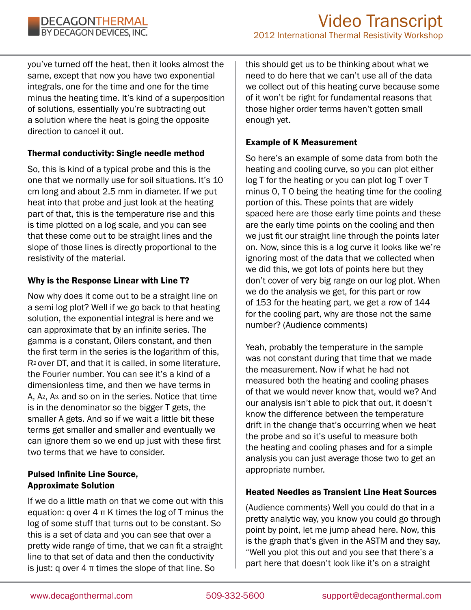you've turned off the heat, then it looks almost the same, except that now you have two exponential integrals, one for the time and one for the time minus the heating time. It's kind of a superposition of solutions, essentially you're subtracting out a solution where the heat is going the opposite direction to cancel it out.

### Thermal conductivity: Single needle method

So, this is kind of a typical probe and this is the one that we normally use for soil situations. It's 10 cm long and about 2.5 mm in diameter. If we put heat into that probe and just look at the heating part of that, this is the temperature rise and this is time plotted on a log scale, and you can see that these come out to be straight lines and the slope of those lines is directly proportional to the resistivity of the material.

### Why is the Response Linear with Line T?

Now why does it come out to be a straight line on a semi log plot? Well if we go back to that heating solution, the exponential integral is here and we can approximate that by an infinite series. The gamma is a constant, Oilers constant, and then the first term in the series is the logarithm of this, R2 over DT, and that it is called, in some literature, the Fourier number. You can see it's a kind of a dimensionless time, and then we have terms in A, A2, A3, and so on in the series. Notice that time is in the denominator so the bigger T gets, the smaller A gets. And so if we wait a little bit these terms get smaller and smaller and eventually we can ignore them so we end up just with these first two terms that we have to consider.

### Pulsed Infinite Line Source, Approximate Solution

If we do a little math on that we come out with this equation: q over 4 π K times the log of T minus the log of some stuff that turns out to be constant. So this is a set of data and you can see that over a pretty wide range of time, that we can fit a straight line to that set of data and then the conductivity is just: q over  $4\pi$  times the slope of that line. So

this should get us to be thinking about what we need to do here that we can't use all of the data we collect out of this heating curve because some of it won't be right for fundamental reasons that those higher order terms haven't gotten small enough yet.

# Example of K Measurement

So here's an example of some data from both the heating and cooling curve, so you can plot either log T for the heating or you can plot log T over T minus 0, T 0 being the heating time for the cooling portion of this. These points that are widely spaced here are those early time points and these are the early time points on the cooling and then we just fit our straight line through the points later on. Now, since this is a log curve it looks like we're ignoring most of the data that we collected when we did this, we got lots of points here but they don't cover of very big range on our log plot. When we do the analysis we get, for this part or row of 153 for the heating part, we get a row of 144 for the cooling part, why are those not the same number? (Audience comments)

Yeah, probably the temperature in the sample was not constant during that time that we made the measurement. Now if what he had not measured both the heating and cooling phases of that we would never know that, would we? And our analysis isn't able to pick that out, it doesn't know the difference between the temperature drift in the change that's occurring when we heat the probe and so it's useful to measure both the heating and cooling phases and for a simple analysis you can just average those two to get an appropriate number.

# Heated Needles as Transient Line Heat Sources

(Audience comments) Well you could do that in a pretty analytic way, you know you could go through point by point, let me jump ahead here. Now, this is the graph that's given in the ASTM and they say, "Well you plot this out and you see that there's a part here that doesn't look like it's on a straight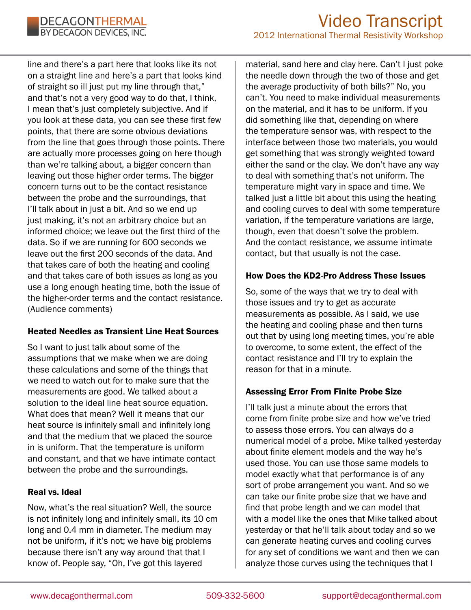

line and there's a part here that looks like its not on a straight line and here's a part that looks kind of straight so ill just put my line through that," and that's not a very good way to do that, I think, I mean that's just completely subjective. And if you look at these data, you can see these first few points, that there are some obvious deviations from the line that goes through those points. There are actually more processes going on here though than we're talking about, a bigger concern than leaving out those higher order terms. The bigger concern turns out to be the contact resistance between the probe and the surroundings, that I'll talk about in just a bit. And so we end up just making, it's not an arbitrary choice but an informed choice; we leave out the first third of the data. So if we are running for 600 seconds we leave out the first 200 seconds of the data. And that takes care of both the heating and cooling and that takes care of both issues as long as you use a long enough heating time, both the issue of the higher-order terms and the contact resistance. (Audience comments)

#### Heated Needles as Transient Line Heat Sources

So I want to just talk about some of the assumptions that we make when we are doing these calculations and some of the things that we need to watch out for to make sure that the measurements are good. We talked about a solution to the ideal line heat source equation. What does that mean? Well it means that our heat source is infinitely small and infinitely long and that the medium that we placed the source in is uniform. That the temperature is uniform and constant, and that we have intimate contact between the probe and the surroundings.

#### Real vs. Ideal

Now, what's the real situation? Well, the source is not infinitely long and infinitely small, its 10 cm long and 0.4 mm in diameter. The medium may not be uniform, if it's not; we have big problems because there isn't any way around that that I know of. People say, "Oh, I've got this layered

material, sand here and clay here. Can't I just poke the needle down through the two of those and get the average productivity of both bills?" No, you can't. You need to make individual measurements on the material, and it has to be uniform. If you did something like that, depending on where the temperature sensor was, with respect to the interface between those two materials, you would get something that was strongly weighted toward either the sand or the clay. We don't have any way to deal with something that's not uniform. The temperature might vary in space and time. We talked just a little bit about this using the heating and cooling curves to deal with some temperature variation, if the temperature variations are large, though, even that doesn't solve the problem. And the contact resistance, we assume intimate contact, but that usually is not the case.

### How Does the KD2-Pro Address These Issues

So, some of the ways that we try to deal with those issues and try to get as accurate measurements as possible. As I said, we use the heating and cooling phase and then turns out that by using long meeting times, you're able to overcome, to some extent, the effect of the contact resistance and I'll try to explain the reason for that in a minute.

### Assessing Error From Finite Probe Size

I'll talk just a minute about the errors that come from finite probe size and how we've tried to assess those errors. You can always do a numerical model of a probe. Mike talked yesterday about finite element models and the way he's used those. You can use those same models to model exactly what that performance is of any sort of probe arrangement you want. And so we can take our finite probe size that we have and find that probe length and we can model that with a model like the ones that Mike talked about yesterday or that he'll talk about today and so we can generate heating curves and cooling curves for any set of conditions we want and then we can analyze those curves using the techniques that I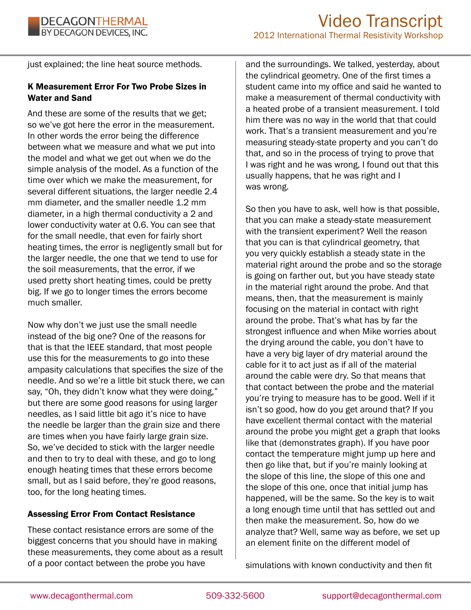just explained; the line heat source methods.

# K Measurement Error For Two Probe Sizes in Water and Sand

And these are some of the results that we get; so we've got here the error in the measurement. In other words the error being the difference between what we measure and what we put into the model and what we get out when we do the simple analysis of the model. As a function of the time over which we make the measurement, for several different situations, the larger needle 2.4 mm diameter, and the smaller needle 1.2 mm diameter, in a high thermal conductivity a 2 and lower conductivity water at 0.6. You can see that for the small needle, that even for fairly short heating times, the error is negligently small but for the larger needle, the one that we tend to use for the soil measurements, that the error, if we used pretty short heating times, could be pretty big. If we go to longer times the errors become much smaller.

Now why don't we just use the small needle instead of the big one? One of the reasons for that is that the IEEE standard, that most people use this for the measurements to go into these ampasity calculations that specifies the size of the needle. And so we're a little bit stuck there, we can say, "Oh, they didn't know what they were doing," but there are some good reasons for using larger needles, as I said little bit ago it's nice to have the needle be larger than the grain size and there are times when you have fairly large grain size. So, we've decided to stick with the larger needle and then to try to deal with these, and go to long enough heating times that these errors become small, but as I said before, they're good reasons, too, for the long heating times.

# Assessing Error From Contact Resistance

These contact resistance errors are some of the biggest concerns that you should have in making these measurements, they come about as a result of a poor contact between the probe you have

and the surroundings. We talked, yesterday, about the cylindrical geometry. One of the first times a student came into my office and said he wanted to make a measurement of thermal conductivity with a heated probe of a transient measurement. I told him there was no way in the world that that could work. That's a transient measurement and you're measuring steady-state property and you can't do that, and so in the process of trying to prove that I was right and he was wrong, I found out that this usually happens, that he was right and I was wrong.

So then you have to ask, well how is that possible, that you can make a steady-state measurement with the transient experiment? Well the reason that you can is that cylindrical geometry, that you very quickly establish a steady state in the material right around the probe and so the storage is going on farther out, but you have steady state in the material right around the probe. And that means, then, that the measurement is mainly focusing on the material in contact with right around the probe. That's what has by far the strongest influence and when Mike worries about the drying around the cable, you don't have to have a very big layer of dry material around the cable for it to act just as if all of the material around the cable were dry. So that means that that contact between the probe and the material you're trying to measure has to be good. Well if it isn't so good, how do you get around that? If you have excellent thermal contact with the material around the probe you might get a graph that looks like that (demonstrates graph). If you have poor contact the temperature might jump up here and then go like that, but if you're mainly looking at the slope of this line, the slope of this one and the slope of this one, once that initial jump has happened, will be the same. So the key is to wait a long enough time until that has settled out and then make the measurement. So, how do we analyze that? Well, same way as before, we set up an element finite on the different model of

simulations with known conductivity and then fit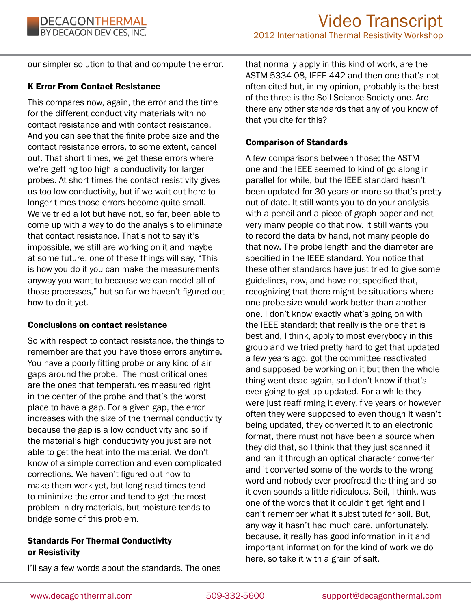our simpler solution to that and compute the error.

### K Error From Contact Resistance

This compares now, again, the error and the time for the different conductivity materials with no contact resistance and with contact resistance. And you can see that the finite probe size and the contact resistance errors, to some extent, cancel out. That short times, we get these errors where we're getting too high a conductivity for larger probes. At short times the contact resistivity gives us too low conductivity, but if we wait out here to longer times those errors become quite small. We've tried a lot but have not, so far, been able to come up with a way to do the analysis to eliminate that contact resistance. That's not to say it's impossible, we still are working on it and maybe at some future, one of these things will say, "This is how you do it you can make the measurements anyway you want to because we can model all of those processes," but so far we haven't figured out how to do it yet.

### Conclusions on contact resistance

So with respect to contact resistance, the things to remember are that you have those errors anytime. You have a poorly fitting probe or any kind of air gaps around the probe. The most critical ones are the ones that temperatures measured right in the center of the probe and that's the worst place to have a gap. For a given gap, the error increases with the size of the thermal conductivity because the gap is a low conductivity and so if the material's high conductivity you just are not able to get the heat into the material. We don't know of a simple correction and even complicated corrections. We haven't figured out how to make them work yet, but long read times tend to minimize the error and tend to get the most problem in dry materials, but moisture tends to bridge some of this problem.

### Standards For Thermal Conductivity or Resistivity

I'll say a few words about the standards. The ones

that normally apply in this kind of work, are the ASTM 5334-08, IEEE 442 and then one that's not often cited but, in my opinion, probably is the best of the three is the Soil Science Society one. Are there any other standards that any of you know of that you cite for this?

### Comparison of Standards

A few comparisons between those; the ASTM one and the IEEE seemed to kind of go along in parallel for while, but the IEEE standard hasn't been updated for 30 years or more so that's pretty out of date. It still wants you to do your analysis with a pencil and a piece of graph paper and not very many people do that now. It still wants you to record the data by hand, not many people do that now. The probe length and the diameter are specified in the IEEE standard. You notice that these other standards have just tried to give some guidelines, now, and have not specified that, recognizing that there might be situations where one probe size would work better than another one. I don't know exactly what's going on with the IEEE standard; that really is the one that is best and, I think, apply to most everybody in this group and we tried pretty hard to get that updated a few years ago, got the committee reactivated and supposed be working on it but then the whole thing went dead again, so I don't know if that's ever going to get up updated. For a while they were just reaffirming it every, five years or however often they were supposed to even though it wasn't being updated, they converted it to an electronic format, there must not have been a source when they did that, so I think that they just scanned it and ran it through an optical character converter and it converted some of the words to the wrong word and nobody ever proofread the thing and so it even sounds a little ridiculous. Soil, I think, was one of the words that it couldn't get right and I can't remember what it substituted for soil. But, any way it hasn't had much care, unfortunately, because, it really has good information in it and important information for the kind of work we do here, so take it with a grain of salt.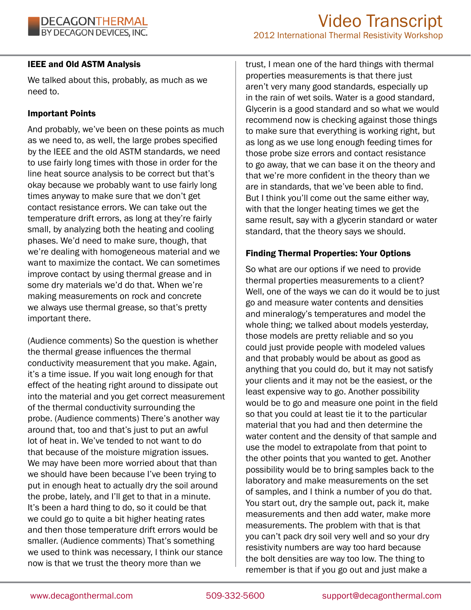### IEEE and Old ASTM Analysis

We talked about this, probably, as much as we need to.

### Important Points

And probably, we've been on these points as much as we need to, as well, the large probes specified by the IEEE and the old ASTM standards, we need to use fairly long times with those in order for the line heat source analysis to be correct but that's okay because we probably want to use fairly long times anyway to make sure that we don't get contact resistance errors. We can take out the temperature drift errors, as long at they're fairly small, by analyzing both the heating and cooling phases. We'd need to make sure, though, that we're dealing with homogeneous material and we want to maximize the contact. We can sometimes improve contact by using thermal grease and in some dry materials we'd do that. When we're making measurements on rock and concrete we always use thermal grease, so that's pretty important there.

(Audience comments) So the question is whether the thermal grease influences the thermal conductivity measurement that you make. Again, it's a time issue. If you wait long enough for that effect of the heating right around to dissipate out into the material and you get correct measurement of the thermal conductivity surrounding the probe. (Audience comments) There's another way around that, too and that's just to put an awful lot of heat in. We've tended to not want to do that because of the moisture migration issues. We may have been more worried about that than we should have been because I've been trying to put in enough heat to actually dry the soil around the probe, lately, and I'll get to that in a minute. It's been a hard thing to do, so it could be that we could go to quite a bit higher heating rates and then those temperature drift errors would be smaller. (Audience comments) That's something we used to think was necessary, I think our stance now is that we trust the theory more than we

trust, I mean one of the hard things with thermal properties measurements is that there just aren't very many good standards, especially up in the rain of wet soils. Water is a good standard, Glycerin is a good standard and so what we would recommend now is checking against those things to make sure that everything is working right, but as long as we use long enough feeding times for those probe size errors and contact resistance to go away, that we can base it on the theory and that we're more confident in the theory than we are in standards, that we've been able to find. But I think you'll come out the same either way, with that the longer heating times we get the same result, say with a glycerin standard or water standard, that the theory says we should.

### Finding Thermal Properties: Your Options

So what are our options if we need to provide thermal properties measurements to a client? Well, one of the ways we can do it would be to just go and measure water contents and densities and mineralogy's temperatures and model the whole thing; we talked about models yesterday, those models are pretty reliable and so you could just provide people with modeled values and that probably would be about as good as anything that you could do, but it may not satisfy your clients and it may not be the easiest, or the least expensive way to go. Another possibility would be to go and measure one point in the field so that you could at least tie it to the particular material that you had and then determine the water content and the density of that sample and use the model to extrapolate from that point to the other points that you wanted to get. Another possibility would be to bring samples back to the laboratory and make measurements on the set of samples, and I think a number of you do that. You start out, dry the sample out, pack it, make measurements and then add water, make more measurements. The problem with that is that you can't pack dry soil very well and so your dry resistivity numbers are way too hard because the bolt densities are way too low. The thing to remember is that if you go out and just make a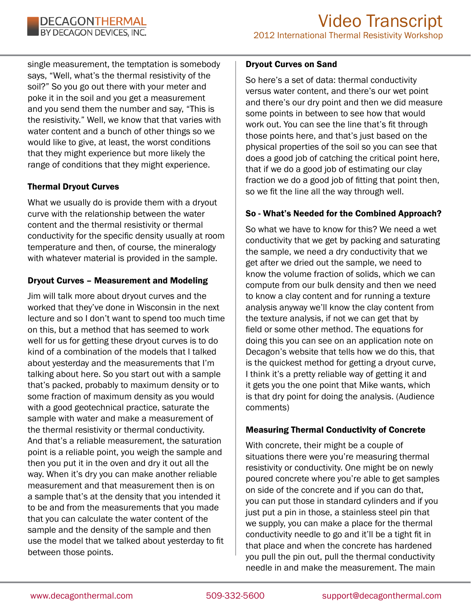

single measurement, the temptation is somebody says, "Well, what's the thermal resistivity of the soil?" So you go out there with your meter and poke it in the soil and you get a measurement and you send them the number and say, "This is the resistivity." Well, we know that that varies with water content and a bunch of other things so we would like to give, at least, the worst conditions that they might experience but more likely the range of conditions that they might experience.

### Thermal Dryout Curves

What we usually do is provide them with a dryout curve with the relationship between the water content and the thermal resistivity or thermal conductivity for the specific density usually at room temperature and then, of course, the mineralogy with whatever material is provided in the sample.

### Dryout Curves – Measurement and Modeling

Jim will talk more about dryout curves and the worked that they've done in Wisconsin in the next lecture and so I don't want to spend too much time on this, but a method that has seemed to work well for us for getting these dryout curves is to do kind of a combination of the models that I talked about yesterday and the measurements that I'm talking about here. So you start out with a sample that's packed, probably to maximum density or to some fraction of maximum density as you would with a good geotechnical practice, saturate the sample with water and make a measurement of the thermal resistivity or thermal conductivity. And that's a reliable measurement, the saturation point is a reliable point, you weigh the sample and then you put it in the oven and dry it out all the way. When it's dry you can make another reliable measurement and that measurement then is on a sample that's at the density that you intended it to be and from the measurements that you made that you can calculate the water content of the sample and the density of the sample and then use the model that we talked about yesterday to fit between those points.

#### Dryout Curves on Sand

So here's a set of data: thermal conductivity versus water content, and there's our wet point and there's our dry point and then we did measure some points in between to see how that would work out. You can see the line that's fit through those points here, and that's just based on the physical properties of the soil so you can see that does a good job of catching the critical point here, that if we do a good job of estimating our clay fraction we do a good job of fitting that point then, so we fit the line all the way through well.

### So - What's Needed for the Combined Approach?

So what we have to know for this? We need a wet conductivity that we get by packing and saturating the sample, we need a dry conductivity that we get after we dried out the sample, we need to know the volume fraction of solids, which we can compute from our bulk density and then we need to know a clay content and for running a texture analysis anyway we'll know the clay content from the texture analysis, if not we can get that by field or some other method. The equations for doing this you can see on an application note on Decagon's website that tells how we do this, that is the quickest method for getting a dryout curve, I think it's a pretty reliable way of getting it and it gets you the one point that Mike wants, which is that dry point for doing the analysis. (Audience comments)

### Measuring Thermal Conductivity of Concrete

With concrete, their might be a couple of situations there were you're measuring thermal resistivity or conductivity. One might be on newly poured concrete where you're able to get samples on side of the concrete and if you can do that, you can put those in standard cylinders and if you just put a pin in those, a stainless steel pin that we supply, you can make a place for the thermal conductivity needle to go and it'll be a tight fit in that place and when the concrete has hardened you pull the pin out, pull the thermal conductivity needle in and make the measurement. The main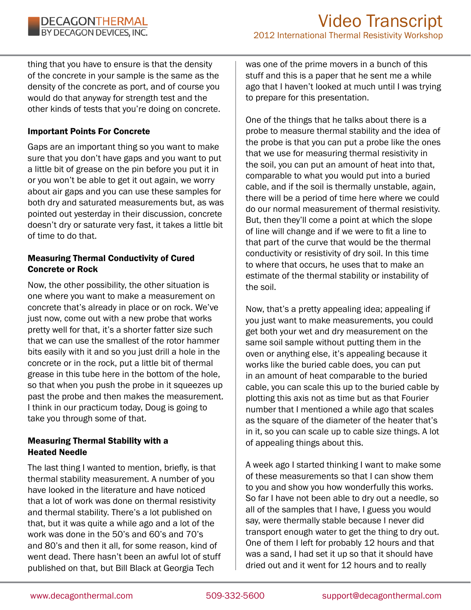thing that you have to ensure is that the density of the concrete in your sample is the same as the density of the concrete as port, and of course you would do that anyway for strength test and the other kinds of tests that you're doing on concrete.

### Important Points For Concrete

Gaps are an important thing so you want to make sure that you don't have gaps and you want to put a little bit of grease on the pin before you put it in or you won't be able to get it out again, we worry about air gaps and you can use these samples for both dry and saturated measurements but, as was pointed out yesterday in their discussion, concrete doesn't dry or saturate very fast, it takes a little bit of time to do that.

### Measuring Thermal Conductivity of Cured Concrete or Rock

Now, the other possibility, the other situation is one where you want to make a measurement on concrete that's already in place or on rock. We've just now, come out with a new probe that works pretty well for that, it's a shorter fatter size such that we can use the smallest of the rotor hammer bits easily with it and so you just drill a hole in the concrete or in the rock, put a little bit of thermal grease in this tube here in the bottom of the hole, so that when you push the probe in it squeezes up past the probe and then makes the measurement. I think in our practicum today, Doug is going to take you through some of that.

### Measuring Thermal Stability with a Heated Needle

The last thing I wanted to mention, briefly, is that thermal stability measurement. A number of you have looked in the literature and have noticed that a lot of work was done on thermal resistivity and thermal stability. There's a lot published on that, but it was quite a while ago and a lot of the work was done in the 50's and 60's and 70's and 80's and then it all, for some reason, kind of went dead. There hasn't been an awful lot of stuff published on that, but Bill Black at Georgia Tech

was one of the prime movers in a bunch of this stuff and this is a paper that he sent me a while ago that I haven't looked at much until I was trying to prepare for this presentation.

One of the things that he talks about there is a probe to measure thermal stability and the idea of the probe is that you can put a probe like the ones that we use for measuring thermal resistivity in the soil, you can put an amount of heat into that, comparable to what you would put into a buried cable, and if the soil is thermally unstable, again, there will be a period of time here where we could do our normal measurement of thermal resistivity. But, then they'll come a point at which the slope of line will change and if we were to fit a line to that part of the curve that would be the thermal conductivity or resistivity of dry soil. In this time to where that occurs, he uses that to make an estimate of the thermal stability or instability of the soil.

Now, that's a pretty appealing idea; appealing if you just want to make measurements, you could get both your wet and dry measurement on the same soil sample without putting them in the oven or anything else, it's appealing because it works like the buried cable does, you can put in an amount of heat comparable to the buried cable, you can scale this up to the buried cable by plotting this axis not as time but as that Fourier number that I mentioned a while ago that scales as the square of the diameter of the heater that's in it, so you can scale up to cable size things. A lot of appealing things about this.

A week ago I started thinking I want to make some of these measurements so that I can show them to you and show you how wonderfully this works. So far I have not been able to dry out a needle, so all of the samples that I have, I guess you would say, were thermally stable because I never did transport enough water to get the thing to dry out. One of them I left for probably 12 hours and that was a sand, I had set it up so that it should have dried out and it went for 12 hours and to really